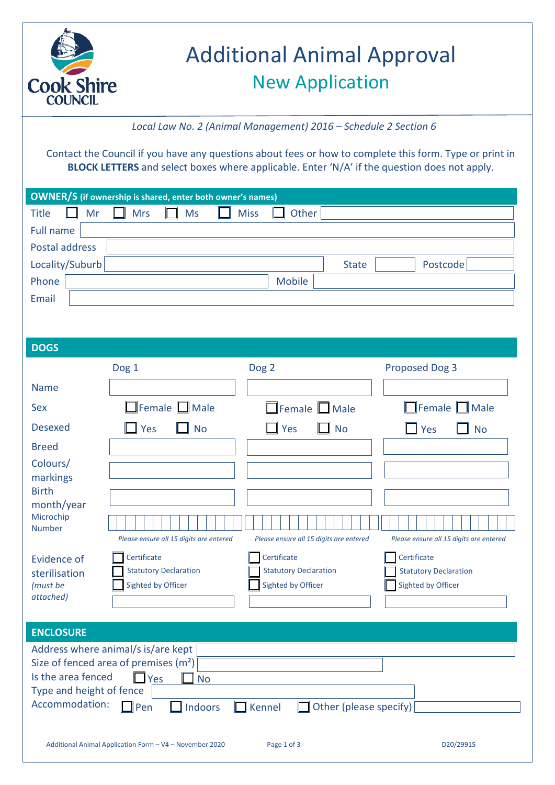

# Additional Animal Approval New Application

*Local Law No. 2 (Animal Management) 2016 – Schedule 2 Section 6*

Contact the Council if you have any questions about fees or how to complete this form. Type or print in **BLOCK LETTERS** and select boxes where applicable. Enter 'N/A' if the question does not apply.

| <b>OWNER/S</b> (if ownership is shared, enter both owner's names) |    |                      |             |        |              |          |  |
|-------------------------------------------------------------------|----|----------------------|-------------|--------|--------------|----------|--|
| Title<br>$\mathbf{I}$                                             | Mr | $\Box$ Mrs $\Box$ Ms | $\Box$ Miss | Other  |              |          |  |
| Full name                                                         |    |                      |             |        |              |          |  |
| Postal address                                                    |    |                      |             |        |              |          |  |
| Locality/Suburb                                                   |    |                      |             |        | <b>State</b> | Postcode |  |
| Phone                                                             |    |                      |             | Mobile |              |          |  |
| Email                                                             |    |                      |             |        |              |          |  |

| <b>DOGS</b>                                                                                                                                                                                                                       |                                                                   |                                                                   |                                                                   |  |  |  |  |
|-----------------------------------------------------------------------------------------------------------------------------------------------------------------------------------------------------------------------------------|-------------------------------------------------------------------|-------------------------------------------------------------------|-------------------------------------------------------------------|--|--|--|--|
|                                                                                                                                                                                                                                   | Dog 1                                                             | Dog <sub>2</sub>                                                  | <b>Proposed Dog 3</b>                                             |  |  |  |  |
| <b>Name</b>                                                                                                                                                                                                                       |                                                                   |                                                                   |                                                                   |  |  |  |  |
| Sex                                                                                                                                                                                                                               | Female $\Box$ Male                                                | $\Box$ Female $\Box$ Male                                         | $\Box$ Female $\Box$ Male                                         |  |  |  |  |
| <b>Desexed</b>                                                                                                                                                                                                                    | Yes<br>$\Box$ No                                                  | Yes<br><b>No</b>                                                  | $\Box$ Yes<br><b>No</b>                                           |  |  |  |  |
| <b>Breed</b>                                                                                                                                                                                                                      |                                                                   |                                                                   |                                                                   |  |  |  |  |
| Colours/<br>markings<br><b>Birth</b>                                                                                                                                                                                              |                                                                   |                                                                   |                                                                   |  |  |  |  |
| month/year<br>Microchip<br><b>Number</b>                                                                                                                                                                                          | Please ensure all 15 digits are entered                           | Please ensure all 15 digits are entered                           | Please ensure all 15 digits are entered                           |  |  |  |  |
| Evidence of<br>sterilisation<br>(must be<br>attached)                                                                                                                                                                             | Certificate<br><b>Statutory Declaration</b><br>Sighted by Officer | Certificate<br><b>Statutory Declaration</b><br>Sighted by Officer | Certificate<br><b>Statutory Declaration</b><br>Sighted by Officer |  |  |  |  |
| <b>ENCLOSURE</b>                                                                                                                                                                                                                  |                                                                   |                                                                   |                                                                   |  |  |  |  |
| Address where animal/s is/are kept<br>Size of fenced area of premises $(m2)$<br>Is the area fenced<br>$\Box$ Yes<br><b>No</b><br>Type and height of fence<br>Accommodation:<br>Indoors<br>Kennel<br>Other (please specify)<br>Pen |                                                                   |                                                                   |                                                                   |  |  |  |  |
| D20/29915<br>Additional Animal Application Form - V4 - November 2020<br>Page 1 of 3                                                                                                                                               |                                                                   |                                                                   |                                                                   |  |  |  |  |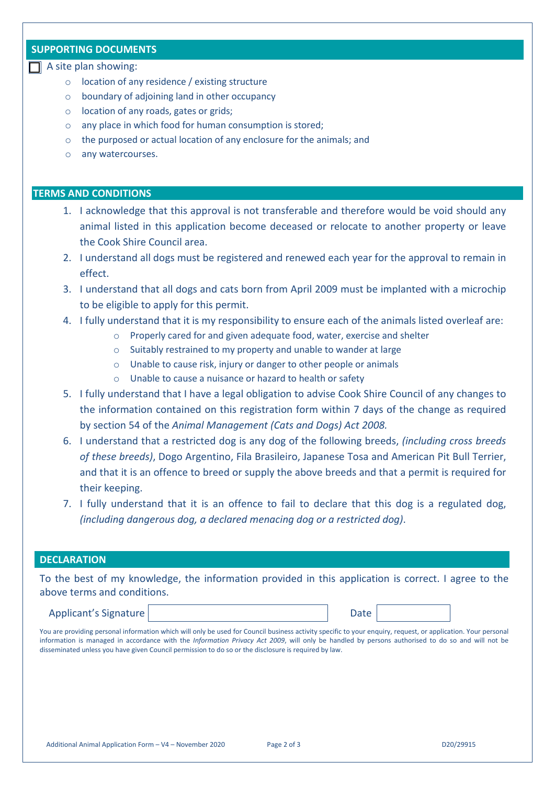## **SUPPORTING DOCUMENTS**

### $\Box$  A site plan showing:

- o location of any residence / existing structure
- o boundary of adjoining land in other occupancy
- o location of any roads, gates or grids;
- o any place in which food for human consumption is stored;
- o the purposed or actual location of any enclosure for the animals; and
- o any watercourses.

## **TERMS AND CONDITIONS**

- 1. I acknowledge that this approval is not transferable and therefore would be void should any animal listed in this application become deceased or relocate to another property or leave the Cook Shire Council area.
- 2. I understand all dogs must be registered and renewed each year for the approval to remain in effect.
- 3. I understand that all dogs and cats born from April 2009 must be implanted with a microchip to be eligible to apply for this permit.
- 4. I fully understand that it is my responsibility to ensure each of the animals listed overleaf are:
	- o Properly cared for and given adequate food, water, exercise and shelter
	- o Suitably restrained to my property and unable to wander at large
	- o Unable to cause risk, injury or danger to other people or animals
	- o Unable to cause a nuisance or hazard to health or safety
- 5. I fully understand that I have a legal obligation to advise Cook Shire Council of any changes to the information contained on this registration form within 7 days of the change as required by section 54 of the *Animal Management (Cats and Dogs) Act 2008.*
- 6. I understand that a restricted dog is any dog of the following breeds, *(including cross breeds of these breeds)*, Dogo Argentino, Fila Brasileiro, Japanese Tosa and American Pit Bull Terrier, and that it is an offence to breed or supply the above breeds and that a permit is required for their keeping.
- 7. I fully understand that it is an offence to fail to declare that this dog is a regulated dog, *(including dangerous dog, a declared menacing dog or a restricted dog)*.

### **DECLARATION**

To the best of my knowledge, the information provided in this application is correct. I agree to the above terms and conditions.

Applicant's Signature | The Date of Participate Date of Participate Date of Participate Date Date

You are providing personal information which will only be used for Council business activity specific to your enquiry, request, or application. Your personal information is managed in accordance with the *Information Privacy Act 2009*, will only be handled by persons authorised to do so and will not be disseminated unless you have given Council permission to do so or the disclosure is required by law.